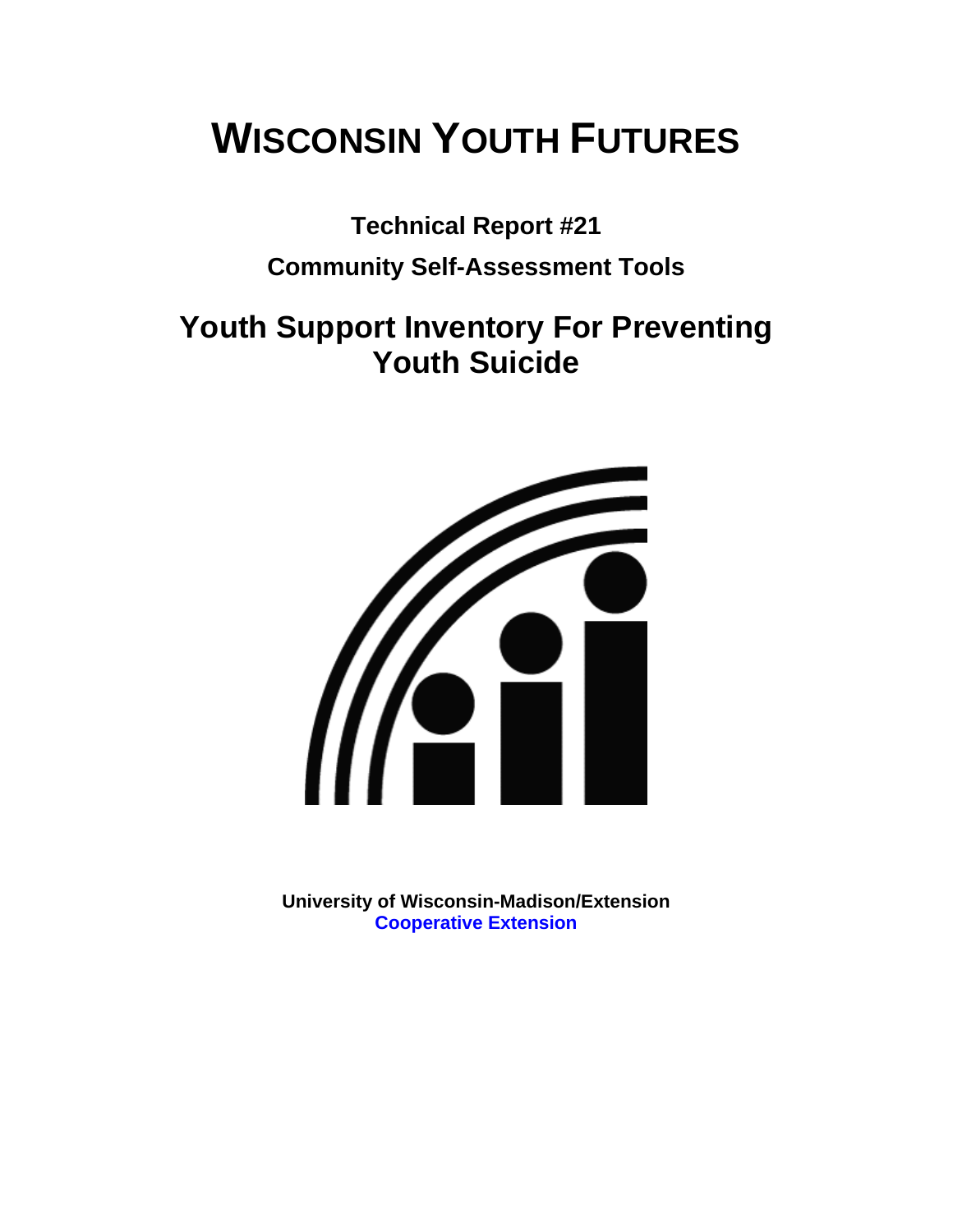# **WISCONSIN YOUTH FUTURES**

**Technical Report #21** 

# **Community Self-Assessment Tools**

# **Youth Support Inventory For Preventing Youth Suicide**



**University of Wisconsin-Madison/Extension [Cooperative Extension](http://www1.uwex.edu/ces/index.cfm)**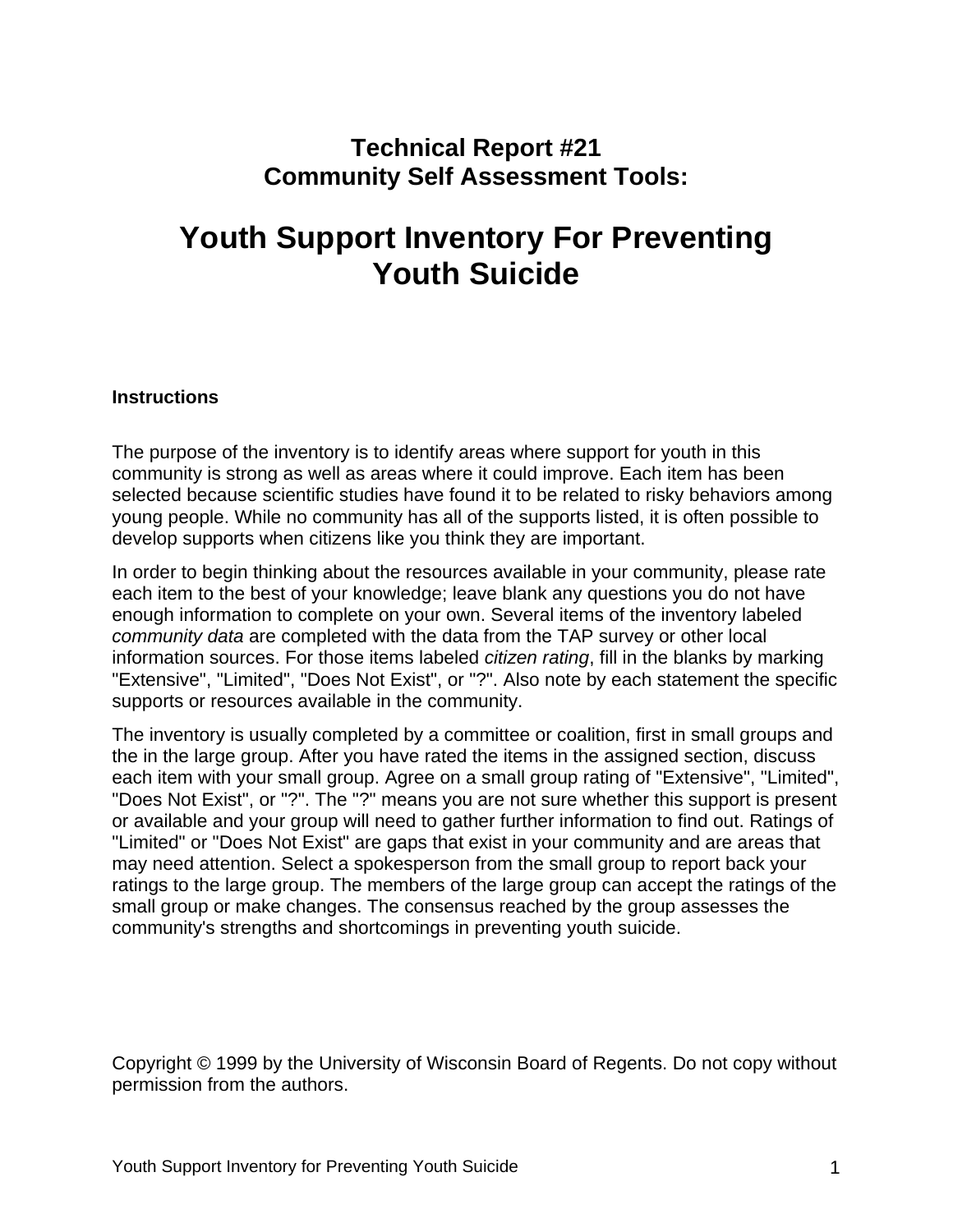## **Technical Report #21 Community Self Assessment Tools:**

# **Youth Support Inventory For Preventing Youth Suicide**

#### **Instructions**

The purpose of the inventory is to identify areas where support for youth in this community is strong as well as areas where it could improve. Each item has been selected because scientific studies have found it to be related to risky behaviors among young people. While no community has all of the supports listed, it is often possible to develop supports when citizens like you think they are important.

In order to begin thinking about the resources available in your community, please rate each item to the best of your knowledge; leave blank any questions you do not have enough information to complete on your own. Several items of the inventory labeled *community data* are completed with the data from the TAP survey or other local information sources. For those items labeled *citizen rating*, fill in the blanks by marking "Extensive", "Limited", "Does Not Exist", or "?". Also note by each statement the specific supports or resources available in the community.

The inventory is usually completed by a committee or coalition, first in small groups and the in the large group. After you have rated the items in the assigned section, discuss each item with your small group. Agree on a small group rating of "Extensive", "Limited", "Does Not Exist", or "?". The "?" means you are not sure whether this support is present or available and your group will need to gather further information to find out. Ratings of "Limited" or "Does Not Exist" are gaps that exist in your community and are areas that may need attention. Select a spokesperson from the small group to report back your ratings to the large group. The members of the large group can accept the ratings of the small group or make changes. The consensus reached by the group assesses the community's strengths and shortcomings in preventing youth suicide.

Copyright © 1999 by the University of Wisconsin Board of Regents. Do not copy without permission from the authors.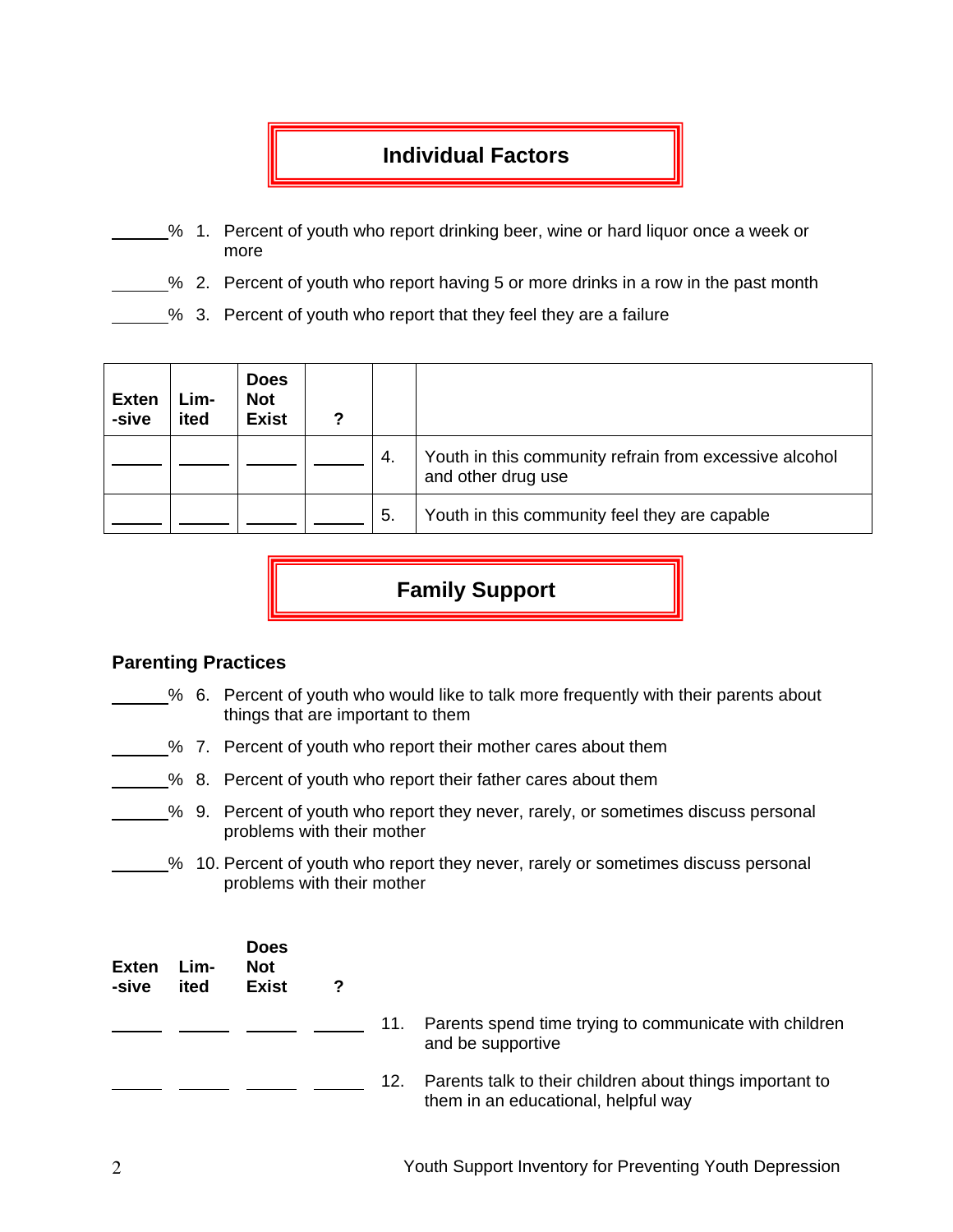### **Individual Factors**

- % 1. Percent of youth who report drinking beer, wine or hard liquor once a week or more
- % 2. Percent of youth who report having 5 or more drinks in a row in the past month
	- % 3. Percent of youth who report that they feel they are a failure

| <b>Exten</b><br>-sive | Lim-<br>ited | <b>Does</b><br><b>Not</b><br><b>Exist</b> |     |                                                                              |
|-----------------------|--------------|-------------------------------------------|-----|------------------------------------------------------------------------------|
|                       |              |                                           | 4.  | Youth in this community refrain from excessive alcohol<br>and other drug use |
|                       |              |                                           | -5. | Youth in this community feel they are capable                                |

## **Family Support**

#### **Parenting Practices**

- % 6. Percent of youth who would like to talk more frequently with their parents about things that are important to them
- % 7. Percent of youth who report their mother cares about them
	- % 8. Percent of youth who report their father cares about them
- % 9. Percent of youth who report they never, rarely, or sometimes discuss personal problems with their mother
- % 10. Percent of youth who report they never, rarely or sometimes discuss personal problems with their mother

| <b>Exten</b><br>-sive | Lim-<br>ited | <b>Does</b><br><b>Not</b><br><b>Exist</b> | ? |     |                                                                                                 |
|-----------------------|--------------|-------------------------------------------|---|-----|-------------------------------------------------------------------------------------------------|
|                       |              |                                           |   | 11. | Parents spend time trying to communicate with children<br>and be supportive                     |
|                       |              |                                           |   | 12. | Parents talk to their children about things important to<br>them in an educational, helpful way |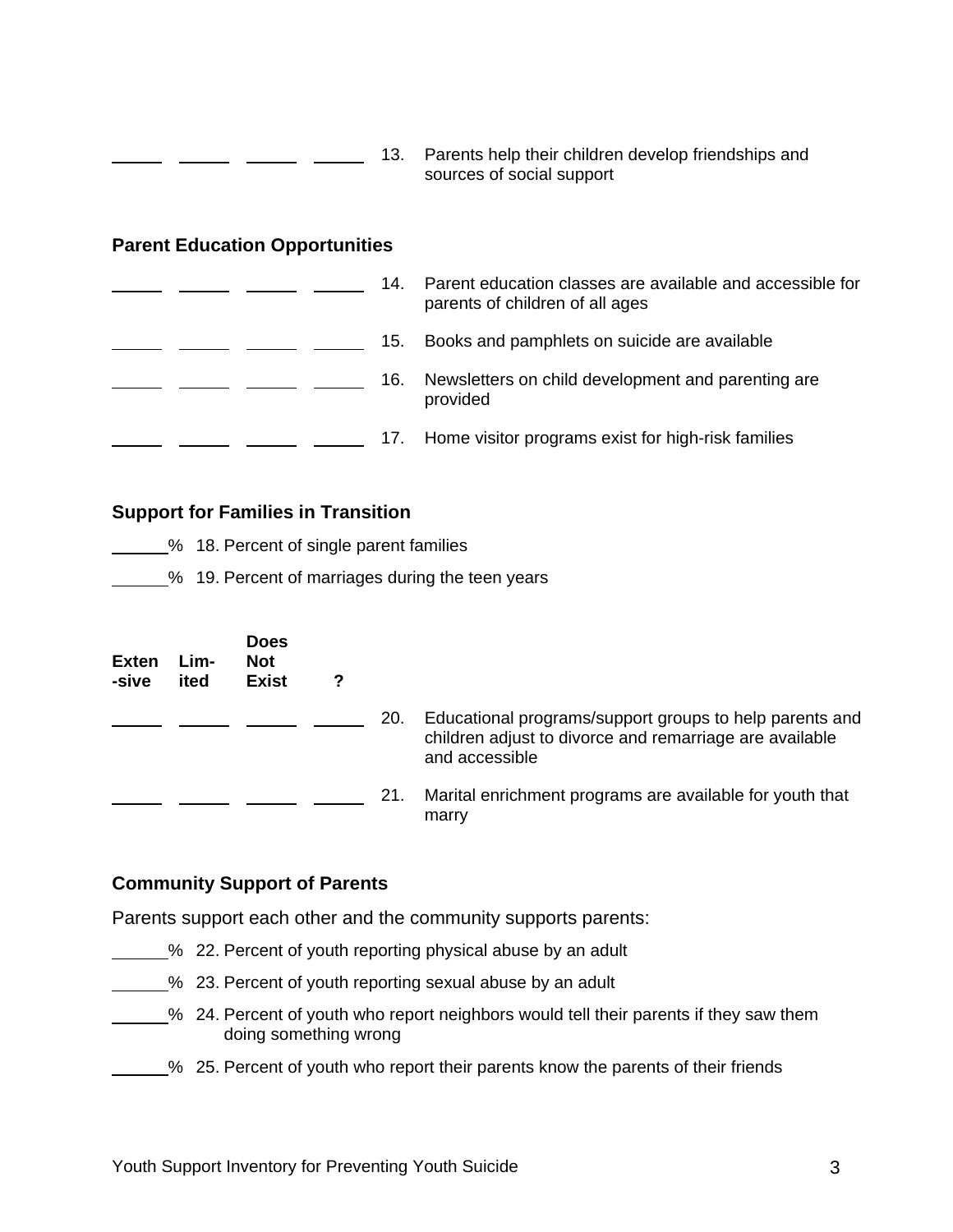| 13. | Parents help their children develop friendships and |
|-----|-----------------------------------------------------|
|     | sources of social support                           |

#### **Parent Education Opportunities**

| 14. | Parent education classes are available and accessible for<br>parents of children of all ages |
|-----|----------------------------------------------------------------------------------------------|
| 15. | Books and pamphlets on suicide are available                                                 |
| 16. | Newsletters on child development and parenting are<br>provided                               |
|     | Home visitor programs exist for high-risk families                                           |

#### **Support for Families in Transition**

- **2008** 18. Percent of single parent families
- % 19. Percent of marriages during the teen years

| <b>Exten</b><br>-sive | Lim-<br>ited | <b>Does</b><br><b>Not</b><br><b>Exist</b> | 7 |     |                                                                                                                                      |
|-----------------------|--------------|-------------------------------------------|---|-----|--------------------------------------------------------------------------------------------------------------------------------------|
|                       |              |                                           |   | 20. | Educational programs/support groups to help parents and<br>children adjust to divorce and remarriage are available<br>and accessible |
|                       |              |                                           |   | 21. | Marital enrichment programs are available for youth that<br>marry                                                                    |

#### **Community Support of Parents**

Parents support each other and the community supports parents:

- % 22. Percent of youth reporting physical abuse by an adult
- <sup>2</sup>% 23. Percent of youth reporting sexual abuse by an adult
- <sup>26</sup> 24. Percent of youth who report neighbors would tell their parents if they saw them doing something wrong
- % 25. Percent of youth who report their parents know the parents of their friends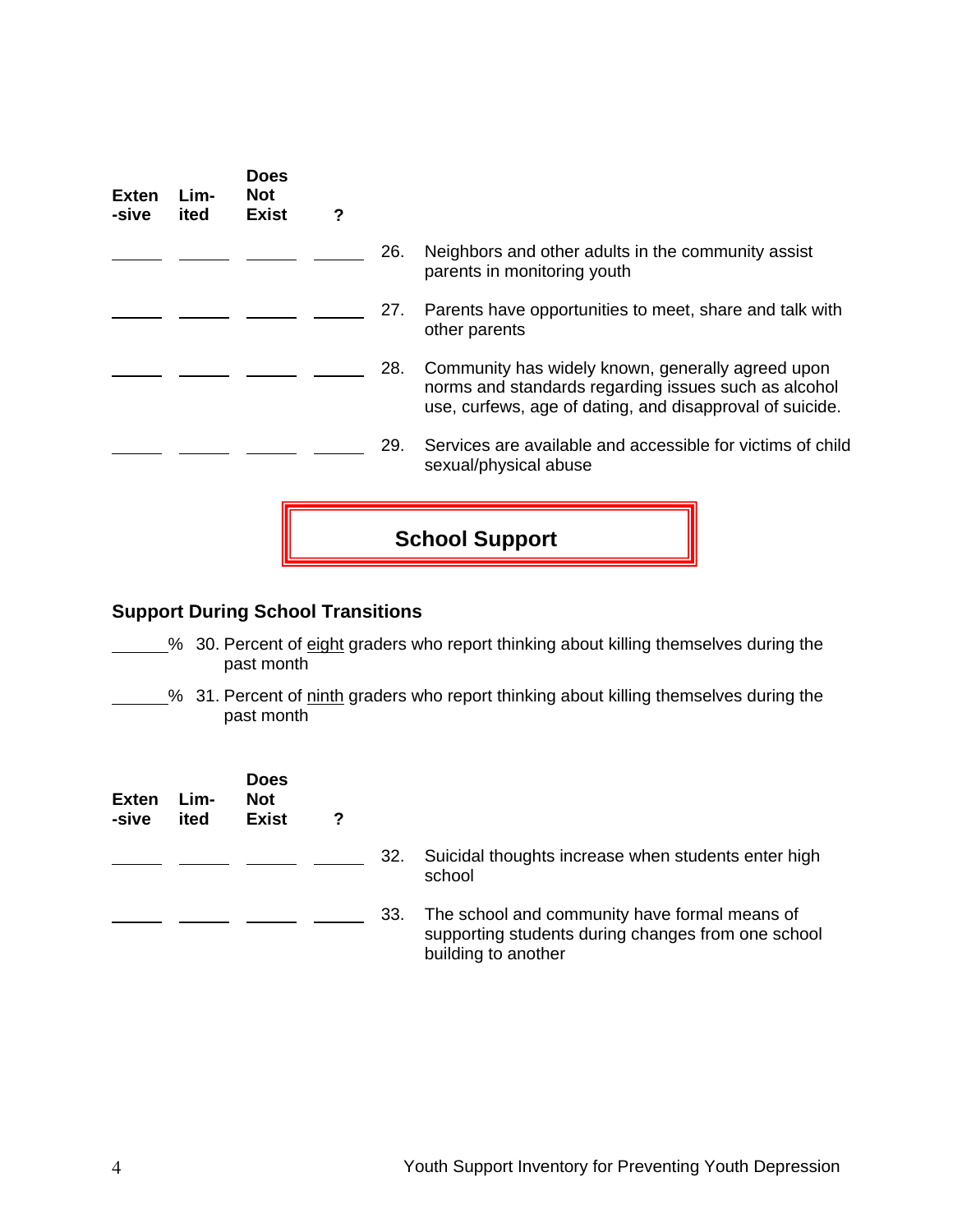| Exten<br>-sive | Lim-<br>ited                             | <b>Does</b><br><b>Not</b><br><b>Exist</b> | ? |     |                                                                                                                                                                       |  |
|----------------|------------------------------------------|-------------------------------------------|---|-----|-----------------------------------------------------------------------------------------------------------------------------------------------------------------------|--|
|                |                                          |                                           |   | 26. | Neighbors and other adults in the community assist<br>parents in monitoring youth                                                                                     |  |
|                |                                          |                                           |   | 27. | Parents have opportunities to meet, share and talk with<br>other parents                                                                                              |  |
|                |                                          |                                           |   | 28. | Community has widely known, generally agreed upon<br>norms and standards regarding issues such as alcohol<br>use, curfews, age of dating, and disapproval of suicide. |  |
|                |                                          |                                           |   | 29. | Services are available and accessible for victims of child<br>sexual/physical abuse                                                                                   |  |
|                | <b>School Support</b>                    |                                           |   |     |                                                                                                                                                                       |  |
|                | <b>Support During School Transitions</b> |                                           |   |     |                                                                                                                                                                       |  |
|                |                                          | past month                                |   |     | % 30. Percent of eight graders who report thinking about killing themselves during the                                                                                |  |

% 31. Percent of ninth graders who report thinking about killing themselves during the past month

| <b>Exten</b><br>-sive | Lim-<br>ited | <b>Does</b><br><b>Not</b><br><b>Exist</b> | 2 |     |                                                                                                                            |
|-----------------------|--------------|-------------------------------------------|---|-----|----------------------------------------------------------------------------------------------------------------------------|
|                       |              |                                           |   | 32. | Suicidal thoughts increase when students enter high<br>school                                                              |
|                       |              |                                           |   | 33. | The school and community have formal means of<br>supporting students during changes from one school<br>building to another |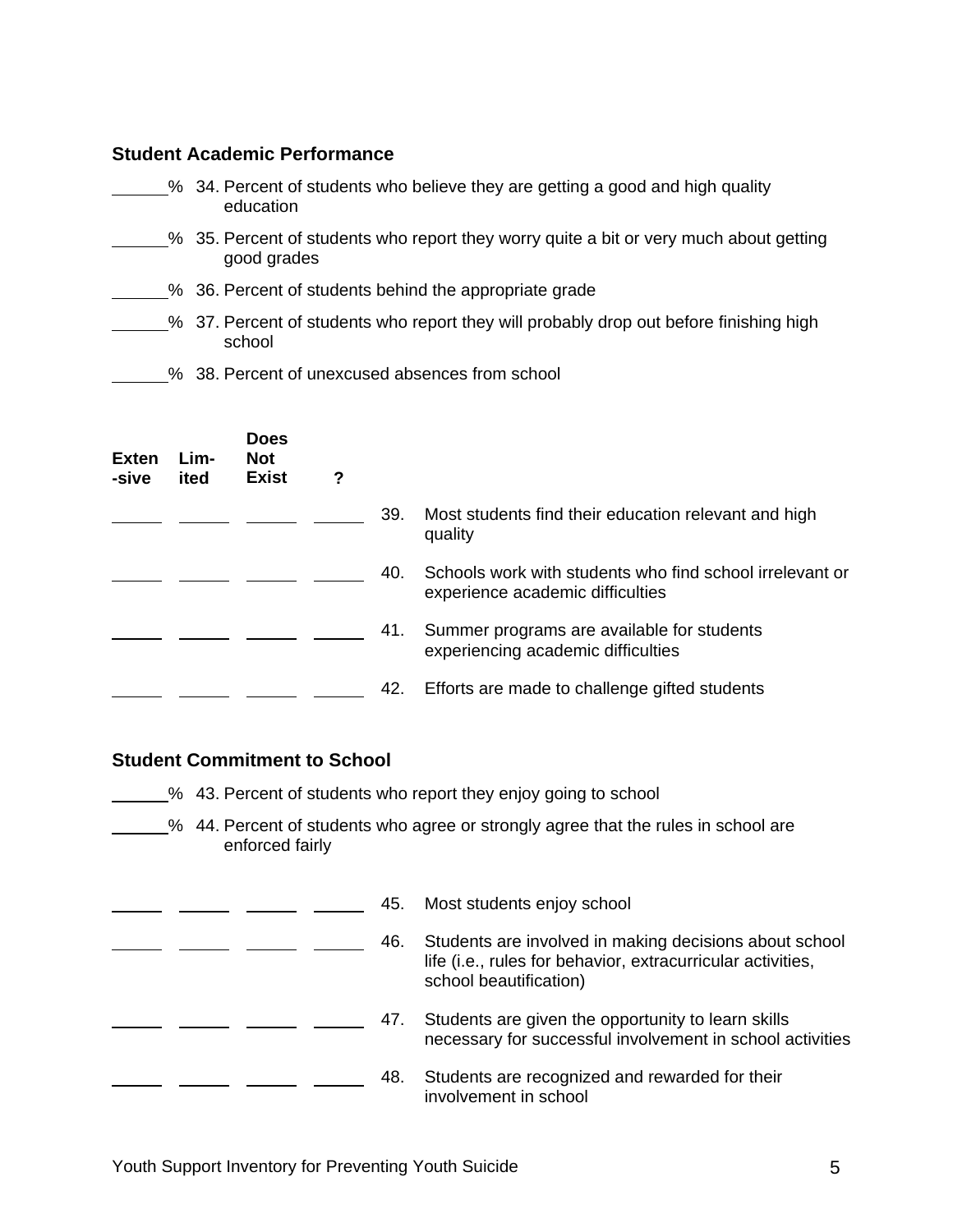#### **Student Academic Performance**

- % 34. Percent of students who believe they are getting a good and high quality education
- \_% 35. Percent of students who report they worry quite a bit or very much about getting good grades
- <sup>26</sup> 36. Percent of students behind the appropriate grade
- % 37. Percent of students who report they will probably drop out before finishing high school
- 58. Percent of unexcused absences from school

| <b>Exten</b><br>-sive | Lim-<br>ited | <b>Does</b><br><b>Not</b><br><b>Exist</b> | ? |     |                                                                                              |
|-----------------------|--------------|-------------------------------------------|---|-----|----------------------------------------------------------------------------------------------|
|                       |              |                                           |   | 39. | Most students find their education relevant and high<br>quality                              |
|                       |              |                                           |   | 40. | Schools work with students who find school irrelevant or<br>experience academic difficulties |
|                       |              |                                           |   | 41. | Summer programs are available for students<br>experiencing academic difficulties             |
|                       |              |                                           |   | 42. | Efforts are made to challenge gifted students                                                |

#### **Student Commitment to School**

**6. 20 13. Percent of students who report they enjoy going to school** 

<sup>26</sup> 44. Percent of students who agree or strongly agree that the rules in school are enforced fairly

|  |  | 45. | Most students enjoy school                                                                                                                      |
|--|--|-----|-------------------------------------------------------------------------------------------------------------------------------------------------|
|  |  | 46. | Students are involved in making decisions about school<br>life (i.e., rules for behavior, extracurricular activities,<br>school beautification) |
|  |  | 47. | Students are given the opportunity to learn skills<br>necessary for successful involvement in school activities                                 |
|  |  | 48. | Students are recognized and rewarded for their<br>involvement in school                                                                         |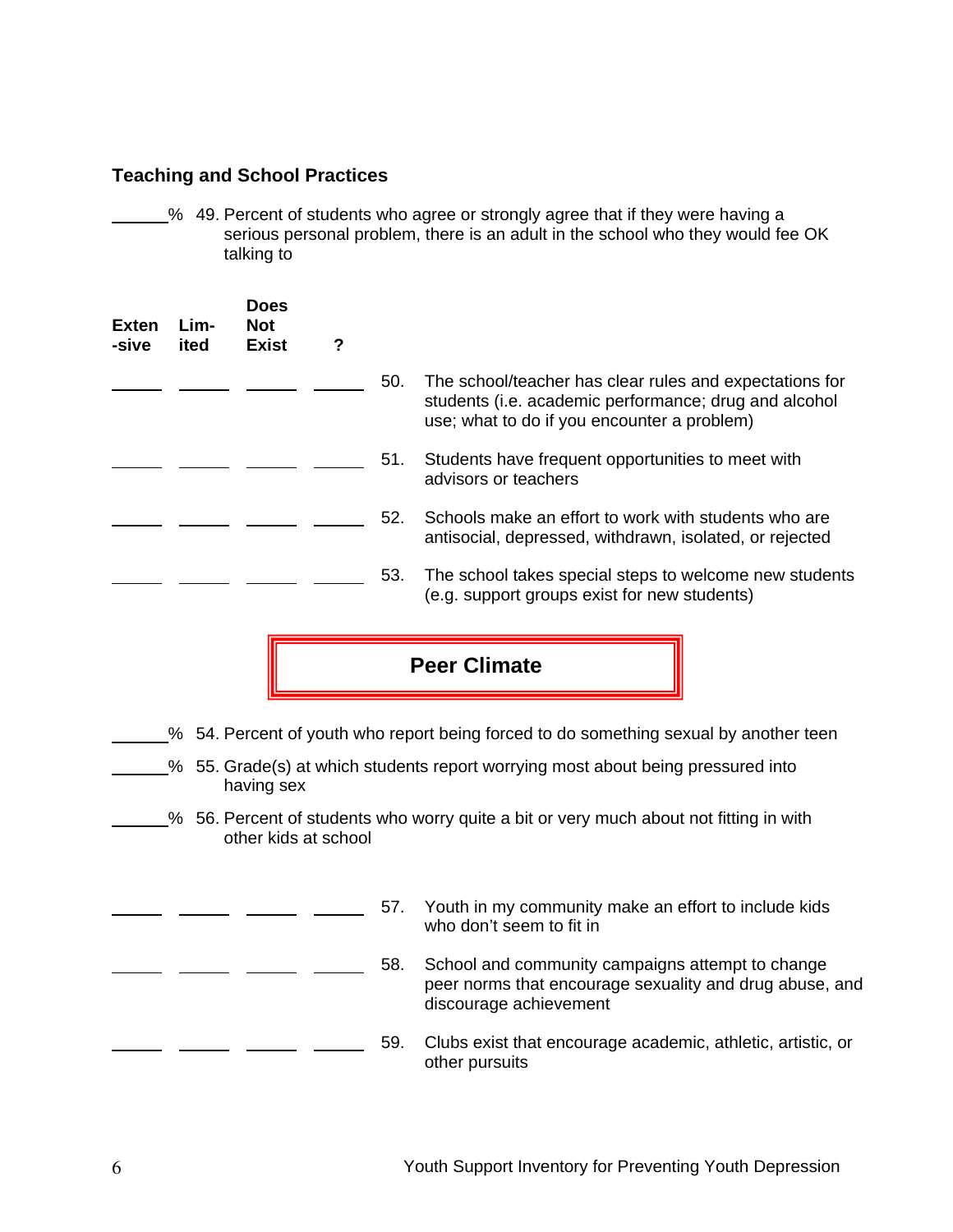#### **Teaching and School Practices**

% 49. Percent of students who agree or strongly agree that if they were having a serious personal problem, there is an adult in the school who they would fee OK talking to

| <b>Exten</b><br>-sive | Lim-<br>ited | <b>Does</b><br><b>Not</b><br><b>Exist</b> | ? |     |                                                                                                                                                                 |
|-----------------------|--------------|-------------------------------------------|---|-----|-----------------------------------------------------------------------------------------------------------------------------------------------------------------|
|                       |              |                                           |   | 50. | The school/teacher has clear rules and expectations for<br>students (i.e. academic performance; drug and alcohol<br>use; what to do if you encounter a problem) |
|                       |              |                                           |   | 51. | Students have frequent opportunities to meet with<br>advisors or teachers                                                                                       |
|                       |              |                                           |   | 52. | Schools make an effort to work with students who are<br>antisocial, depressed, withdrawn, isolated, or rejected                                                 |
|                       |              |                                           |   | 53. | The school takes special steps to welcome new students<br>(e.g. support groups exist for new students)                                                          |



- % 54. Percent of youth who report being forced to do something sexual by another teen
- % 55. Grade(s) at which students report worrying most about being pressured into having sex
- % 56. Percent of students who worry quite a bit or very much about not fitting in with other kids at school
	- 57. Youth in my community make an effort to include kids who don't seem to fit in
	- 58. School and community campaigns attempt to change peer norms that encourage sexuality and drug abuse, and discourage achievement
	- 59. Clubs exist that encourage academic, athletic, artistic, or other pursuits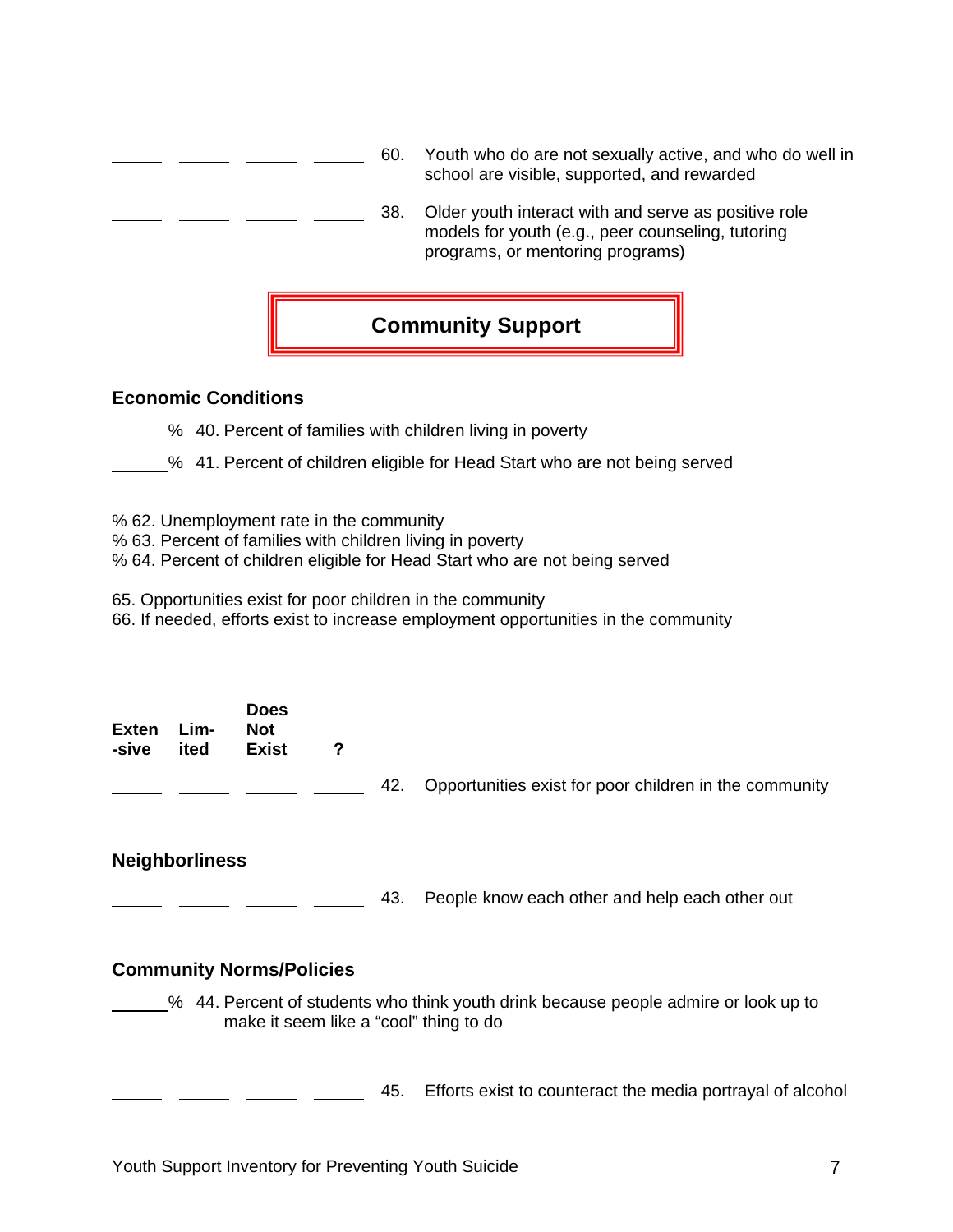|                            | 60. | Youth who do are not sexually active, and who do well in<br>school are visible, supported, and rewarded                                       |
|----------------------------|-----|-----------------------------------------------------------------------------------------------------------------------------------------------|
|                            | 38. | Older youth interact with and serve as positive role<br>models for youth (e.g., peer counseling, tutoring<br>programs, or mentoring programs) |
|                            |     | <b>Community Support</b>                                                                                                                      |
| <b>Economic Conditions</b> |     |                                                                                                                                               |

- % 40. Percent of families with children living in poverty
- % 41. Percent of children eligible for Head Start who are not being served
- % 62. Unemployment rate in the community
- % 63. Percent of families with children living in poverty
- % 64. Percent of children eligible for Head Start who are not being served
- 65. Opportunities exist for poor children in the community
- 66. If needed, efforts exist to increase employment opportunities in the community

|                  | <b>Does</b> |   |  |
|------------------|-------------|---|--|
| Exten Lim-       | <b>Not</b>  |   |  |
| -sive ited Exist |             | ? |  |
|                  |             |   |  |

42. Opportunities exist for poor children in the community

#### **Neighborliness**

<sup>2</sup>/<sub>2</sub> 2008 43. People know each other and help each other out

#### **Community Norms/Policies**

% 44. Percent of students who think youth drink because people admire or look up to make it seem like a "cool" thing to do

<sup>2</sup>/<sub>2</sub> 2008 45. Efforts exist to counteract the media portrayal of alcohol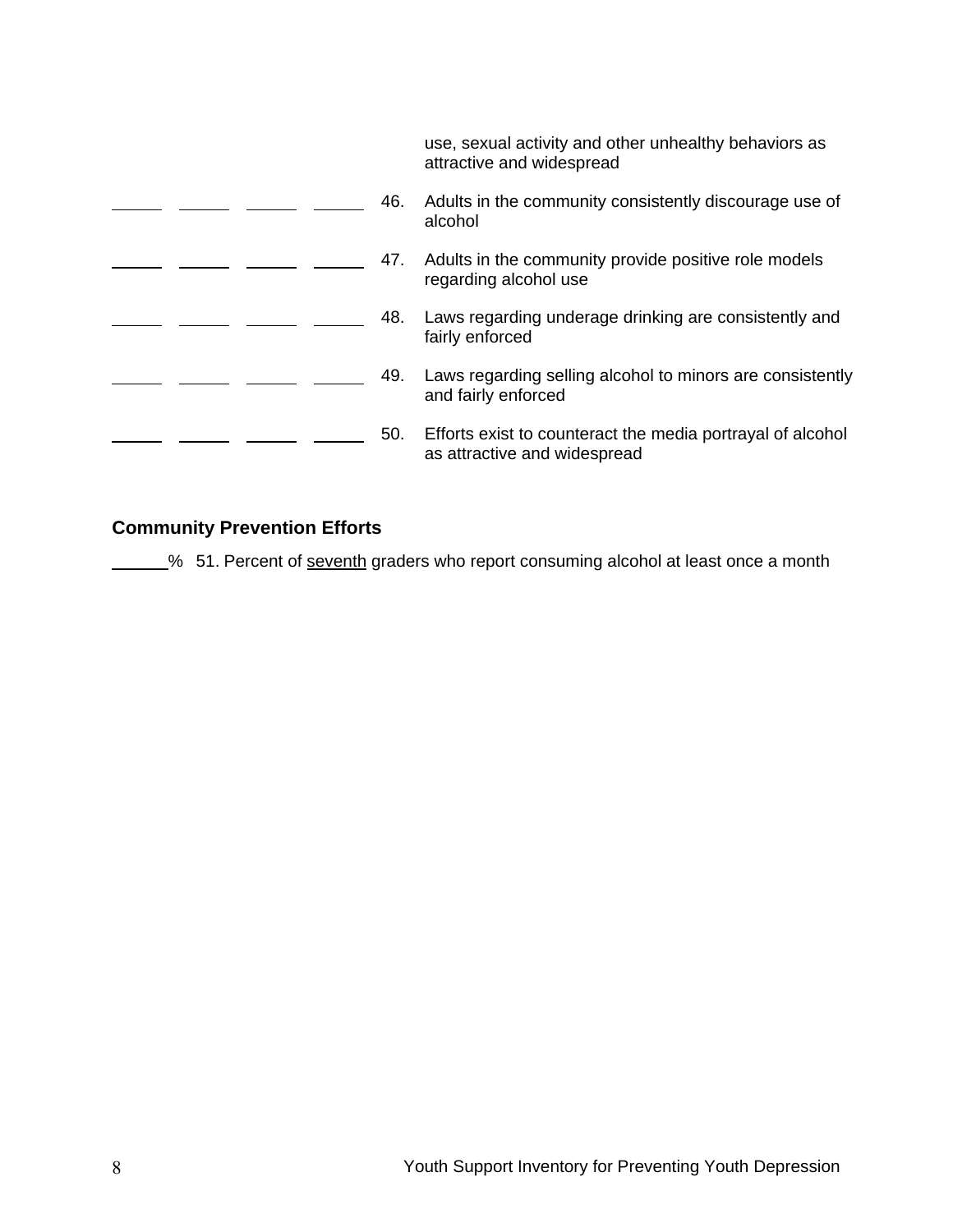use, sexual activity and other unhealthy behaviors as attractive and widespread 46. Adults in the community consistently discourage use of alcohol 47. Adults in the community provide positive role models  $\overline{\phantom{a}}$ regarding alcohol use 48. Laws regarding underage drinking are consistently and fairly enforced 49. Laws regarding selling alcohol to minors are consistently  $\sim$   $\sim$ ÷. and fairly enforced 50. Efforts exist to counteract the media portrayal of alcohol as attractive and widespread

#### **Community Prevention Efforts**

% 51. Percent of seventh graders who report consuming alcohol at least once a month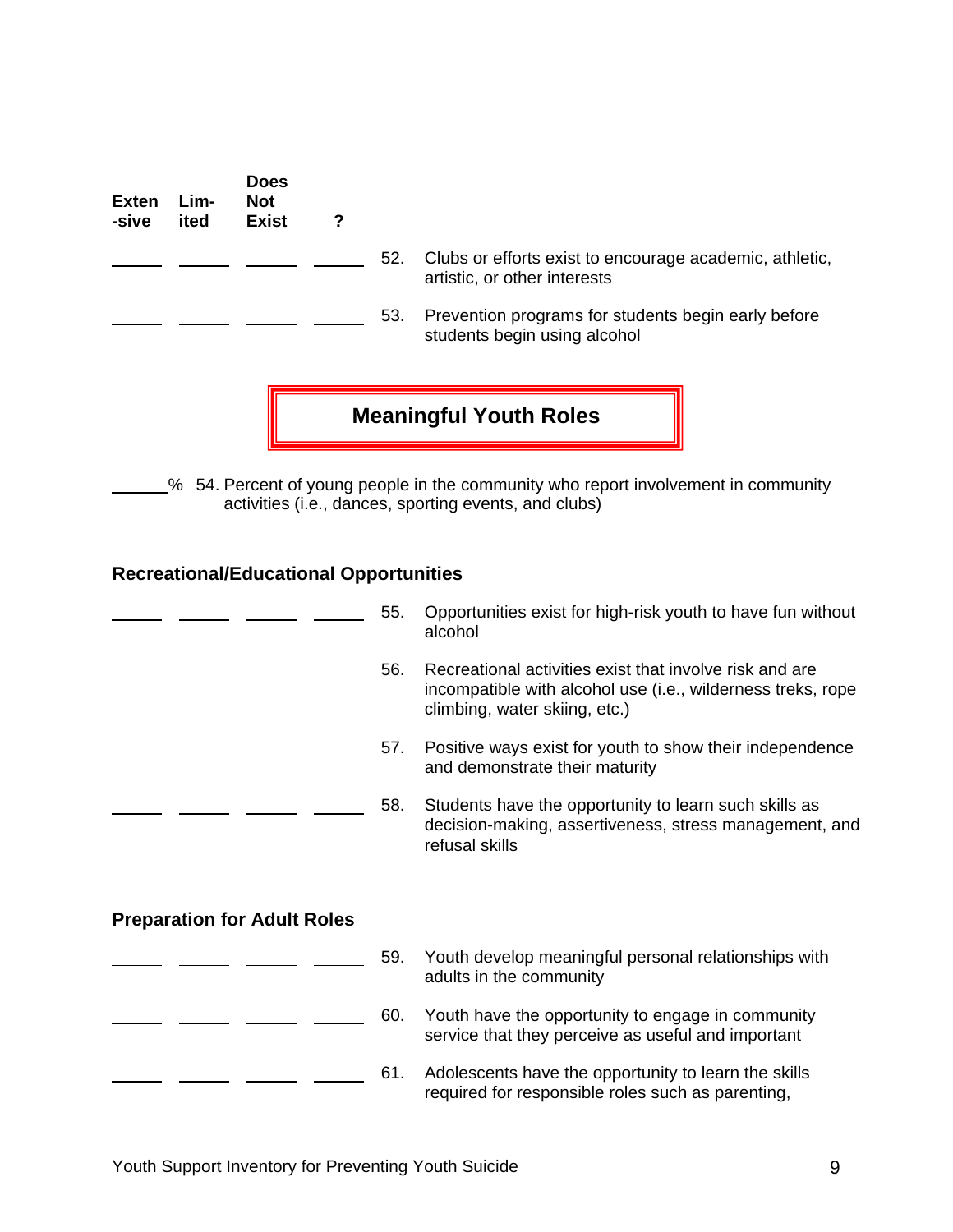| <b>Exten</b><br>-sive | Lim-<br>ited | <b>Does</b><br><b>Not</b><br><b>Exist</b> | ? |                               |                                                                                         |  |  |  |
|-----------------------|--------------|-------------------------------------------|---|-------------------------------|-----------------------------------------------------------------------------------------|--|--|--|
|                       |              |                                           |   | 52.                           | Clubs or efforts exist to encourage academic, athletic,<br>artistic, or other interests |  |  |  |
|                       |              |                                           |   | 53.                           | Prevention programs for students begin early before<br>students begin using alcohol     |  |  |  |
|                       |              |                                           |   | <b>Meaningful Youth Roles</b> |                                                                                         |  |  |  |

% 54. Percent of young people in the community who report involvement in community activities (i.e., dances, sporting events, and clubs)

#### **Recreational/Educational Opportunities**

|                                    | 55. | Opportunities exist for high-risk youth to have fun without<br>alcohol                                                                                  |
|------------------------------------|-----|---------------------------------------------------------------------------------------------------------------------------------------------------------|
|                                    | 56. | Recreational activities exist that involve risk and are<br>incompatible with alcohol use (i.e., wilderness treks, rope<br>climbing, water skiing, etc.) |
|                                    | 57. | Positive ways exist for youth to show their independence<br>and demonstrate their maturity                                                              |
|                                    | 58. | Students have the opportunity to learn such skills as<br>decision-making, assertiveness, stress management, and<br>refusal skills                       |
| <b>Preparation for Adult Roles</b> |     |                                                                                                                                                         |
|                                    | 59. | Youth develop meaningful personal relationships with<br>adults in the community                                                                         |
|                                    | 60. | Youth have the opportunity to engage in community<br>service that they perceive as useful and important                                                 |
|                                    | 61. | Adolescents have the opportunity to learn the skills<br>required for responsible roles such as parenting,                                               |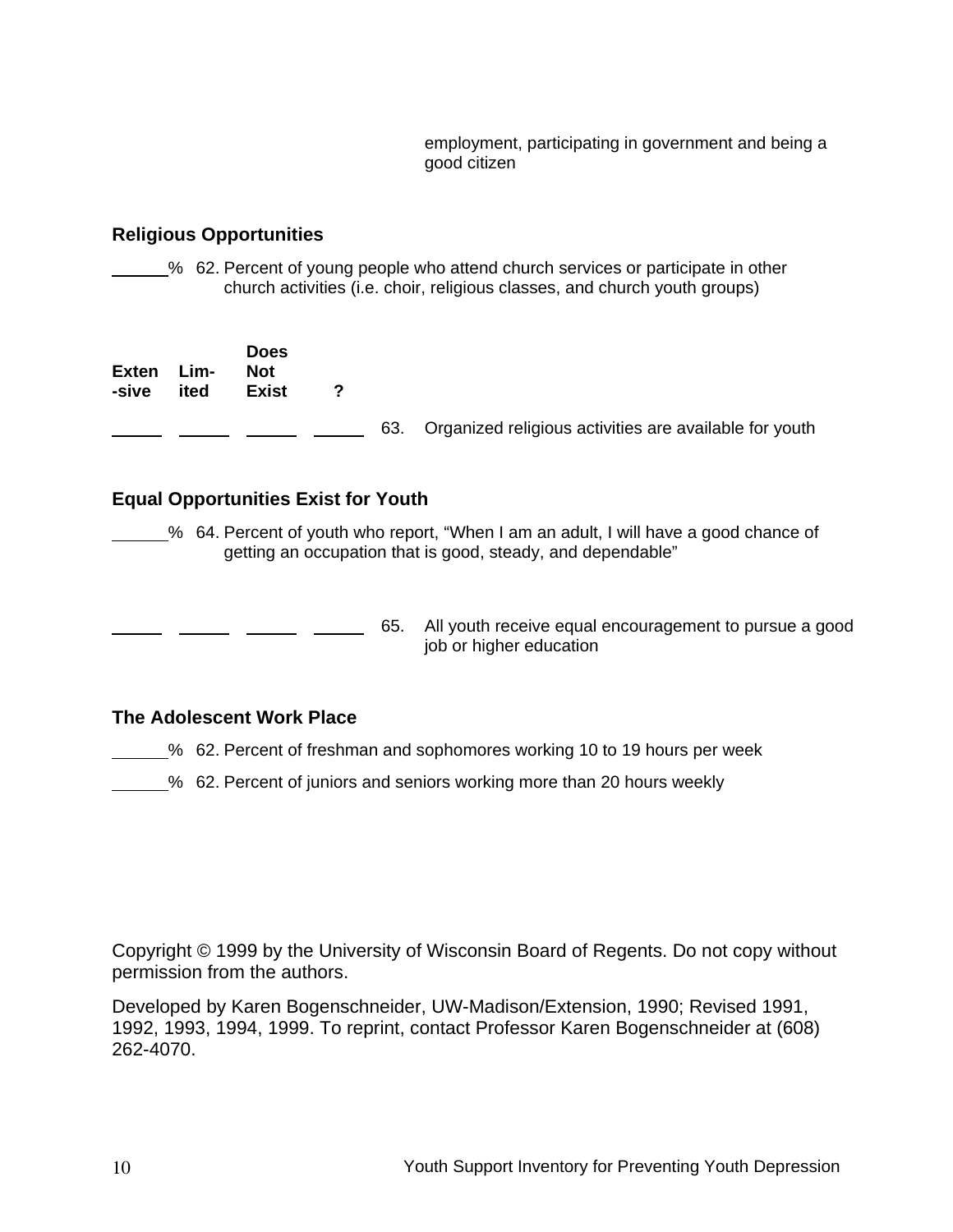employment, participating in government and being a good citizen

#### **Religious Opportunities**

% 62. Percent of young people who attend church services or participate in other church activities (i.e. choir, religious classes, and church youth groups)

| <b>Exten</b><br>-sive | Lim-<br>ited | <b>Does</b><br><b>Not</b><br>Exist |  |                                                            |
|-----------------------|--------------|------------------------------------|--|------------------------------------------------------------|
|                       |              |                                    |  | 63. Organized religious activities are available for youth |

#### **Equal Opportunities Exist for Youth**

- % 64. Percent of youth who report, "When I am an adult, I will have a good chance of getting an occupation that is good, steady, and dependable"
- **EXECUTE:** 65. All youth receive equal encouragement to pursue a good job or higher education

#### **The Adolescent Work Place**

% 62. Percent of freshman and sophomores working 10 to 19 hours per week

% 62. Percent of juniors and seniors working more than 20 hours weekly

Copyright © 1999 by the University of Wisconsin Board of Regents. Do not copy without permission from the authors.

Developed by Karen Bogenschneider, UW-Madison/Extension, 1990; Revised 1991, 1992, 1993, 1994, 1999. To reprint, contact Professor Karen Bogenschneider at (608) 262-4070.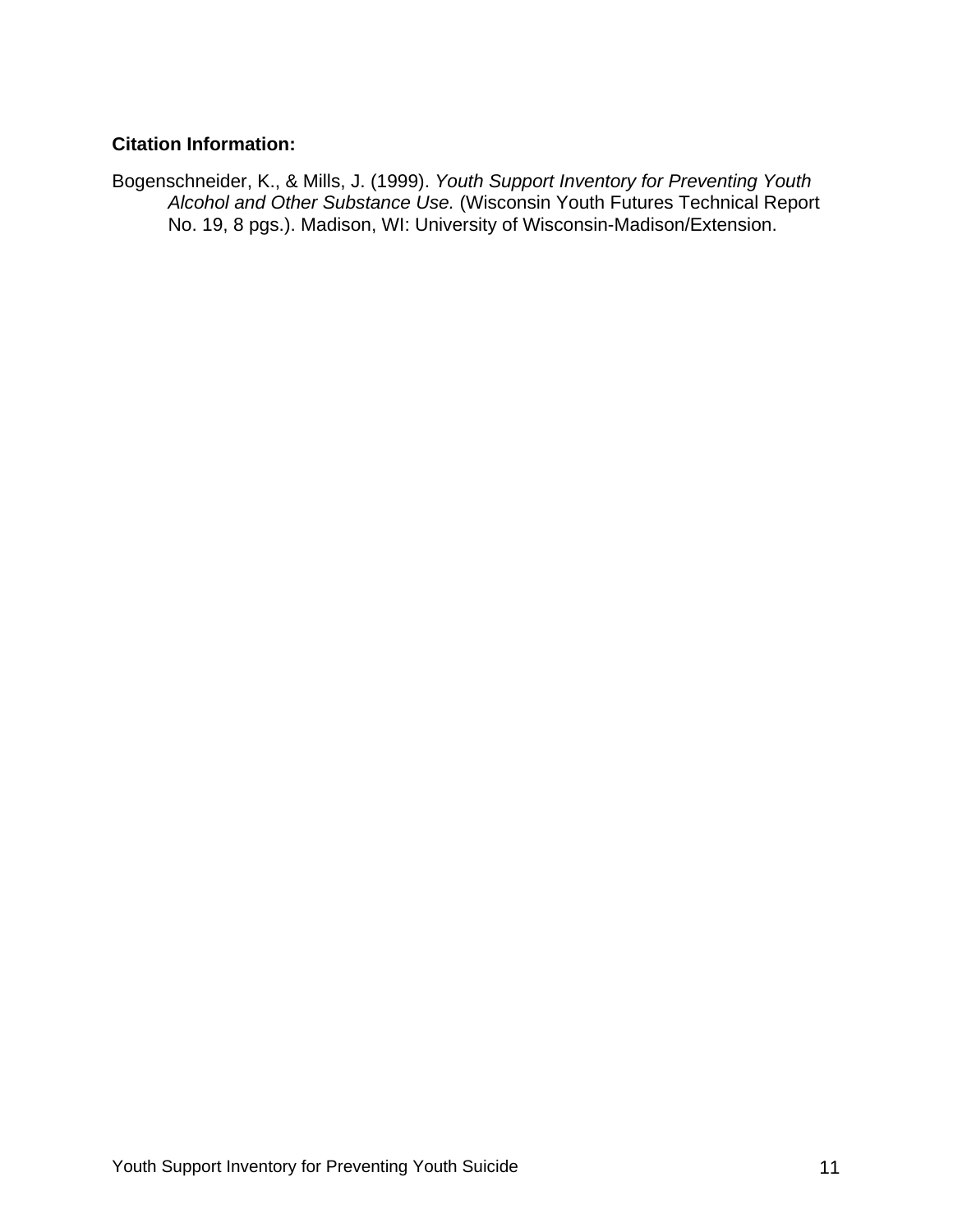#### **Citation Information:**

Bogenschneider, K., & Mills, J. (1999). *Youth Support Inventory for Preventing Youth Alcohol and Other Substance Use.* (Wisconsin Youth Futures Technical Report No. 19, 8 pgs.). Madison, WI: University of Wisconsin-Madison/Extension.